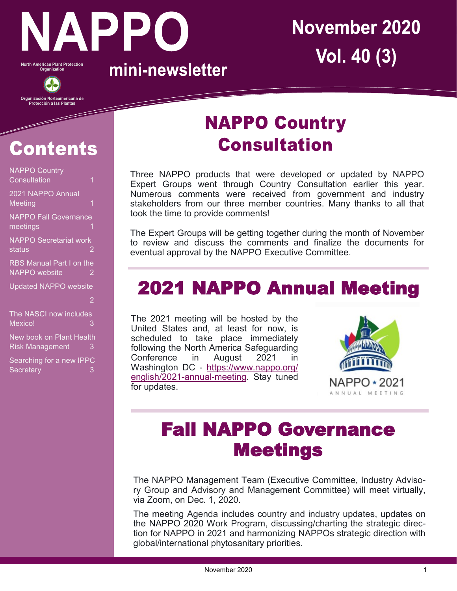

North American Plant Protection<br>Organization



Organización Norteamericana de<br>Protección a las Plantas

mini-newsletter

# **November 2020 Vol. 40 (3)**

# **Contents**

| <b>NAPPO Country</b><br>Consultation<br>1          |                |
|----------------------------------------------------|----------------|
| 2021 NAPPO Annual<br>Meeting<br>1                  |                |
| <b>NAPPO Fall Governance</b><br>meetings           |                |
| <b>NAPPO</b> Secretariat work<br>status            | 2              |
| RBS Manual Part I on the<br><b>NAPPO</b> website   | $\overline{2}$ |
| <b>Updated NAPPO website</b>                       |                |
|                                                    | $\overline{2}$ |
| The NASCI now includes<br>Mexico!                  | 3              |
| New book on Plant Health<br><b>Risk Management</b> | 3              |
| Searching for a new IPPC<br>Secretary              | 3              |

#### **NAPPO Country Consultation**

Three NAPPO products that were developed or updated by NAPPO Expert Groups went through Country Consultation earlier this year. Numerous comments were received from government and industry stakeholders from our three member countries. Many thanks to all that took the time to provide comments!

The Expert Groups will be getting together during the month of November to review and discuss the comments and finalize the documents for eventual approval by the NAPPO Executive Committee.

## 2021 NAPPO Annual Meeting

The 2021 meeting will be hosted by the United States and, at least for now, is scheduled to take place immediately following the North America Safeguarding Conference in August 2021 in Washington DC - [https://www.nappo.org/](https://www.nappo.org/english/2021-annual-meeting) [english/2021](https://www.nappo.org/english/2021-annual-meeting)-annual-meeting. Stay tuned for updates.



## Fall NAPPO Governance Meetings

The NAPPO Management Team (Executive Committee, Industry Advisory Group and Advisory and Management Committee) will meet virtually, via Zoom, on Dec. 1, 2020.

The meeting Agenda includes country and industry updates, updates on the NAPPO 2020 Work Program, discussing/charting the strategic direction for NAPPO in 2021 and harmonizing NAPPOs strategic direction with global/international phytosanitary priorities.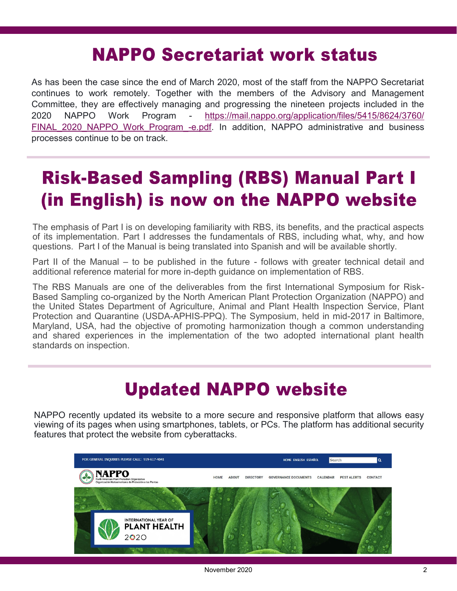#### **NAPPO Secretariat work status**

As has been the case since the end of March 2020, most of the staff from the NAPPO Secretariat continues to work remotely. Together with the members of the Advisory and Management Committee, they are effectively managing and progressing the nineteen projects included in the 2020 NAPPO Work Program - [https://mail.nappo.org/application/files/5415/8624/3760/](https://mail.nappo.org/application/files/5415/8624/3760/FINAL_2020_NAPPO_Work_Program_-e.pdf) FINAL 2020 NAPPO Work Program -e.pdf. In addition, NAPPO administrative and business processes continue to be on track.

### **Risk-Based Sampling (RBS) Manual Part I** (in English) is now on the NAPPO website

The emphasis of Part I is on developing familiarity with RBS, its benefits, and the practical aspects of its implementation. Part I addresses the fundamentals of RBS, including what, why, and how questions. Part I of the Manual is being translated into Spanish and will be available shortly.

Part II of the Manual – to be published in the future - follows with greater technical detail and additional reference material for more in-depth guidance on implementation of RBS.

The RBS Manuals are one of the deliverables from the first International Symposium for Risk-Based Sampling co-organized by the North American Plant Protection Organization (NAPPO) and the United States Department of Agriculture, Animal and Plant Health Inspection Service, Plant Protection and Quarantine (USDA-APHIS-PPQ). The Symposium, held in mid-2017 in Baltimore, Maryland, USA, had the objective of promoting harmonization though a common understanding and shared experiences in the implementation of the two adopted international plant health standards on inspection.

#### **Updated NAPPO website**

NAPPO recently updated its website to a more secure and responsive platform that allows easy viewing of its pages when using smartphones, tablets, or PCs. The platform has additional security features that protect the website from cyberattacks.

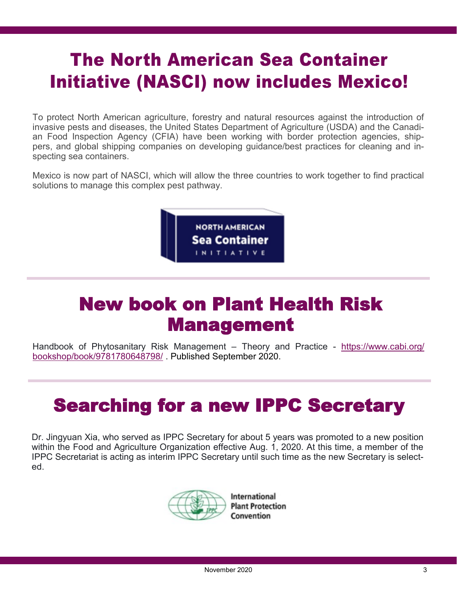#### **The North American Sea Container Initiative (NASCI) now includes Mexico!**

To protect North American agriculture, forestry and natural resources against the introduction of invasive pests and diseases, the United States Department of Agriculture (USDA) and the Canadian Food Inspection Agency (CFIA) have been working with border protection agencies, shippers, and global shipping companies on developing guidance/best practices for cleaning and inspecting sea containers.

Mexico is now part of NASCI, which will allow the three countries to work together to find practical solutions to manage this complex pest pathway.



#### New book on Plant Health Risk Management

Handbook of Phytosanitary Risk Management – Theory and Practice - [https://www.cabi.org/](https://www.cabi.org/bookshop/book/9781780648798/) [bookshop/book/9781780648798/](https://www.cabi.org/bookshop/book/9781780648798/) . Published September 2020.

#### Searching for a new IPPC Secretary

Dr. Jingyuan Xia, who served as IPPC Secretary for about 5 years was promoted to a new position within the Food and Agriculture Organization effective Aug. 1, 2020. At this time, a member of the IPPC Secretariat is acting as interim IPPC Secretary until such time as the new Secretary is selected.



**International Plant Protection** Convention